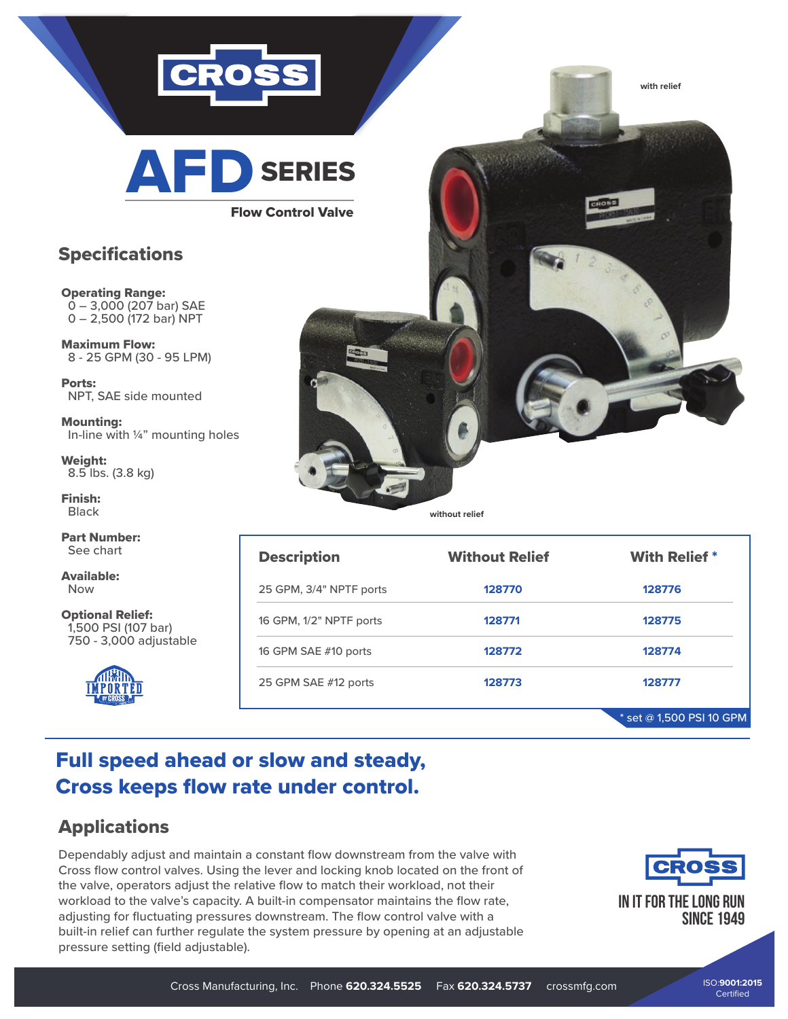

AFD SERIES

Flow Co

## **Specifications**

## Operating Range:  $0 - 3,000$  (207 bar) SAE 0 – 2,500 (172 bar) NPT

Maximum Flow: 8 - 25 GPM (30 - 95 LPM)

Ports: NPT, SAE side mounted

Mounting: In-line with ¼" mounting holes

Weight: 8.5 lbs. (3.8 kg)

Finish: Black

Part Number: See chart

Available: Now

Optional Relief: 1,500 PSI (107 bar) 750 - 3,000 adjustable



| <b>ERIES</b> |       |                |
|--------------|-------|----------------|
| ntrol Valve  | CROSS | <b>MATERIA</b> |
|              |       |                |
|              |       |                |
| Graduate 1   |       |                |
|              |       |                |
|              |       |                |
|              |       |                |

**without relief**

| <b>Description</b>      | <b>Without Relief</b> | <b>With Relief *</b>       |
|-------------------------|-----------------------|----------------------------|
| 25 GPM, 3/4" NPTF ports | 128770                | 128776                     |
| 16 GPM, 1/2" NPTF ports | 128771                | 128775                     |
| 16 GPM SAE #10 ports    | 128772                | 128774                     |
| 25 GPM SAE #12 ports    | 128773                | 128777                     |
|                         |                       | $*$ set @ 1,500 PSI 10 GPM |

## Full speed ahead or slow and steady, Cross keeps flow rate under control.

## Applications

Dependably adjust and maintain a constant flow downstream from the valve with Cross flow control valves. Using the lever and locking knob located on the front of the valve, operators adjust the relative flow to match their workload, not their workload to the valve's capacity. A built-in compensator maintains the flow rate, adjusting for fluctuating pressures downstream. The flow control valve with a built-in relief can further regulate the system pressure by opening at an adjustable pressure setting (field adjustable).



**with relief**